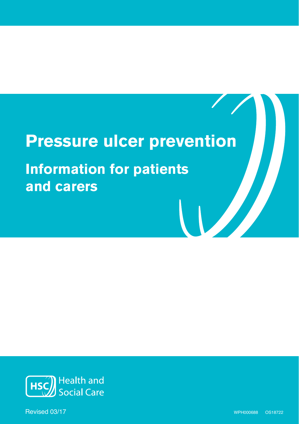# **Pressure ulcer prevention**

**Information for patients and carers**



Revised 03/17 Revised 10/16 WPH000688 OS18722 WPH000688 OS18722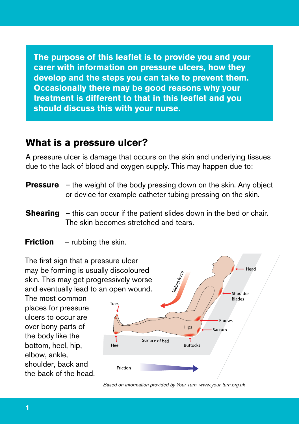**Individual The purpose of this leaflet is to provide you and your carer with information on pressure ulcers, how they develop and the steps you can take to prevent them. Occasionally there may be good reasons why your treatment is different to that in this leaflet and you should discuss this with your nurse.** 

### **What is a pressure ulcer?**

A pressure ulcer is damage that occurs on the skin and underlying tissues due to the lack of blood and oxygen supply. This may happen due to:

- **Pressure** the weight of the body pressing down on the skin. Any object or device for example catheter tubing pressing on the skin.
- **Shearing** this can occur if the patient slides down in the bed or chair. The skin becomes stretched and tears.
- **Friction** rubbing the skin.

The first sign that a pressure ulcer may be forming is usually discoloured skin. This may get progressively worse and eventually lead to an open wound.

The most common places for pressure ulcers to occur are over bony parts of the body like the bottom, heel, hip, elbow, ankle, shoulder, back and the back of the head.



Head

*Based on information provided by Your Turn, www.your-turn.org.uk*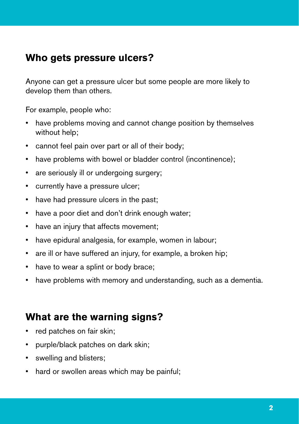### **Individual information Who gets pressure ulcers?**

Anyone can get a pressure ulcer but some people are more likely to develop them than others.

For example, people who:

- have problems moving and cannot change position by themselves without help;
- cannot feel pain over part or all of their body;
- have problems with bowel or bladder control (incontinence);
- are seriously ill or undergoing surgery;
- currently have a pressure ulcer;
- have had pressure ulcers in the past;
- have a poor diet and don't drink enough water;
- have an injury that affects movement;
- have epidural analgesia, for example, women in labour;
- are ill or have suffered an injury, for example, a broken hip;
- have to wear a splint or body brace;
- have problems with memory and understanding, such as a dementia.

### **What are the warning signs?**

- red patches on fair skin;
- purple/black patches on dark skin;
- swelling and blisters:
- hard or swollen areas which may be painful;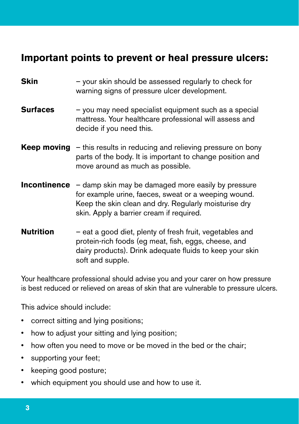### **Individual information Important points to prevent or heal pressure ulcers:**

| Skin                | - your skin should be assessed regularly to check for<br>warning signs of pressure ulcer development.                                                                                                           |
|---------------------|-----------------------------------------------------------------------------------------------------------------------------------------------------------------------------------------------------------------|
| <b>Surfaces</b>     | - you may need specialist equipment such as a special<br>mattress. Your healthcare professional will assess and<br>decide if you need this.                                                                     |
|                     | <b>Keep moving</b> $-$ this results in reducing and relieving pressure on bony<br>parts of the body. It is important to change position and<br>move around as much as possible.                                 |
| <b>Incontinence</b> | - damp skin may be damaged more easily by pressure<br>for example urine, faeces, sweat or a weeping wound.<br>Keep the skin clean and dry. Regularly moisturise dry<br>skin. Apply a barrier cream if required. |
| <b>Nutrition</b>    | - eat a good diet, plenty of fresh fruit, vegetables and<br>protein-rich foods (eg meat, fish, eggs, cheese, and<br>dairy products). Drink adequate fluids to keep your skin<br>soft and supple.                |

Your healthcare professional should advise you and your carer on how pressure is best reduced or relieved on areas of skin that are vulnerable to pressure ulcers.

This advice should include:

- • correct sitting and lying positions;
- how to adjust your sitting and lying position;
- how often you need to move or be moved in the bed or the chair;
- supporting your feet;
- keeping good posture;
- which equipment you should use and how to use it.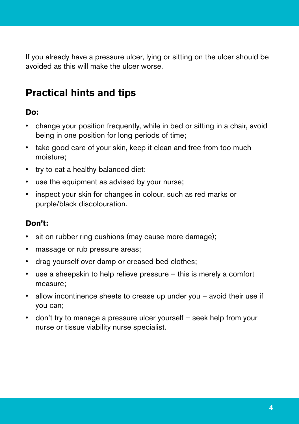If you already have a pressure ulcer, lying or sitting on the ulcer should be avoided as this will make the ulcer worse.

## **Practical hints and tips**

### **Do:**

- change your position frequently, while in bed or sitting in a chair, avoid being in one position for long periods of time;
- take good care of your skin, keep it clean and free from too much moisture;
- try to eat a healthy balanced diet;
- use the equipment as advised by your nurse;
- inspect your skin for changes in colour, such as red marks or purple/black discolouration.

### **Don't:**

- sit on rubber ring cushions (may cause more damage);
- massage or rub pressure areas;
- drag yourself over damp or creased bed clothes;
- use a sheepskin to help relieve pressure this is merely a comfort measure;
- allow incontinence sheets to crease up under you avoid their use if you can;
- don't try to manage a pressure ulcer yourself seek help from your nurse or tissue viability nurse specialist.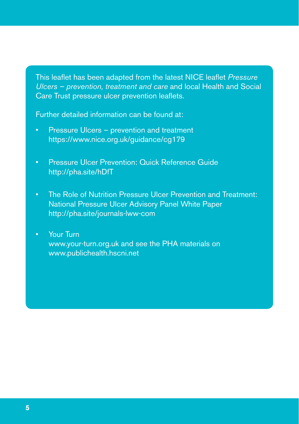This leaflet has been adapted from the latest NICE leaflet *Pressure Ulcers – prevention, treatment and care and local Health and Social* Care Trust pressure ulcer prevention leaflets.

Further detailed information can be found at:

- Pressure Ulcers prevention and treatment https://www.nice.org.uk/guidance/cg179
- Pressure Ulcer Prevention: Quick Reference Guide http://pha.site/hDfT
- The Role of Nutrition Pressure Ulcer Prevention and Treatment: National Pressure Ulcer Advisory Panel White Paper http://pha.site/journals-lww-com
- Your Turn www.your-turn.org.uk and see the PHA materials on www.publichealth.hscni.net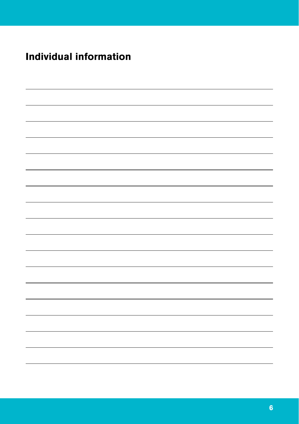#### **Individual information Individual information**